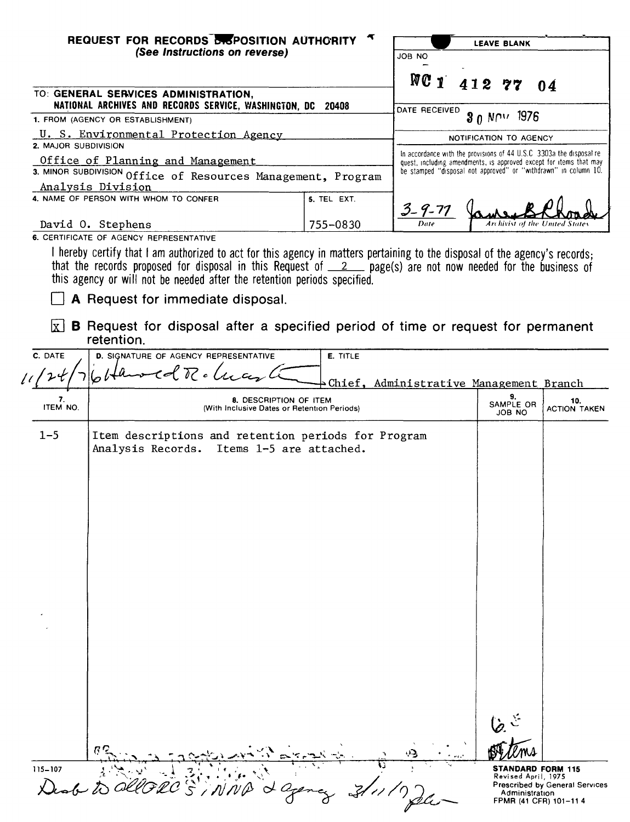|                                                               | REQUEST FOR RECORDS BISPOSITION AUTHORITY                                                                                                                                                                                                                                                                                                                      |             | <b>LEAVE BLANK</b>     |                                                                                                                                            |                                                                                                                              |
|---------------------------------------------------------------|----------------------------------------------------------------------------------------------------------------------------------------------------------------------------------------------------------------------------------------------------------------------------------------------------------------------------------------------------------------|-------------|------------------------|--------------------------------------------------------------------------------------------------------------------------------------------|------------------------------------------------------------------------------------------------------------------------------|
|                                                               | (See Instructions on reverse)                                                                                                                                                                                                                                                                                                                                  |             | JOB NO                 |                                                                                                                                            |                                                                                                                              |
|                                                               |                                                                                                                                                                                                                                                                                                                                                                |             |                        |                                                                                                                                            |                                                                                                                              |
|                                                               | TO: GENERAL SERVICES ADMINISTRATION,                                                                                                                                                                                                                                                                                                                           |             |                        | $NC1$ 412 77                                                                                                                               | 04                                                                                                                           |
|                                                               | NATIONAL ARCHIVES AND RECORDS SERVICE, WASHINGTON, DC 20408                                                                                                                                                                                                                                                                                                    |             | DATE RECEIVED          |                                                                                                                                            |                                                                                                                              |
|                                                               | 1. FROM (AGENCY OR ESTABLISHMENT)                                                                                                                                                                                                                                                                                                                              |             |                        | 30 NOV 1976                                                                                                                                |                                                                                                                              |
| U. S. Environmental Protection Agency<br>2. MAJOR SUBDIVISION |                                                                                                                                                                                                                                                                                                                                                                |             | NOTIFICATION TO AGENCY |                                                                                                                                            |                                                                                                                              |
|                                                               | Office of Planning and Management                                                                                                                                                                                                                                                                                                                              |             |                        | In accordance with the provisions of 44 U.S.C 3303a the disposal re-<br>quest, including amendments, is approved except for items that may |                                                                                                                              |
|                                                               | 3. MINOR SUBDIVISION Office of Resources Management, Program                                                                                                                                                                                                                                                                                                   |             |                        | be stamped "disposal not approved" or "withdrawn" in column 10.                                                                            |                                                                                                                              |
|                                                               | Analysis Division<br>4. NAME OF PERSON WITH WHOM TO CONFER                                                                                                                                                                                                                                                                                                     | 5. TEL EXT. |                        |                                                                                                                                            |                                                                                                                              |
|                                                               |                                                                                                                                                                                                                                                                                                                                                                |             | 3-9-77                 |                                                                                                                                            |                                                                                                                              |
|                                                               | David O. Stephens<br>6. CERTIFICATE OF AGENCY REPRESENTATIVE                                                                                                                                                                                                                                                                                                   | 755-0830    |                        | Archivist of                                                                                                                               |                                                                                                                              |
|                                                               | I hereby certify that I am authorized to act for this agency in matters pertaining to the disposal of the agency's records;<br>that the records proposed for disposal in this Request of $\_2$ page(s) are not now needed for the business of<br>this agency or will not be needed after the retention periods specified.<br>A Request for immediate disposal. |             |                        |                                                                                                                                            |                                                                                                                              |
|                                                               | $\vert x \vert$ <b>B</b> Request for disposal after a specified period of time or request for permanent<br>retention.                                                                                                                                                                                                                                          |             |                        |                                                                                                                                            |                                                                                                                              |
| C. DATE                                                       | D. SIGNATURE OF AGENCY REPRESENTATIVE                                                                                                                                                                                                                                                                                                                          | E. TITLE    |                        |                                                                                                                                            |                                                                                                                              |
|                                                               | $l$ . T c $l$ u                                                                                                                                                                                                                                                                                                                                                |             |                        | Chief, Administrative Management Branch                                                                                                    |                                                                                                                              |
| 7.                                                            | 8. DESCRIPTION OF ITEM                                                                                                                                                                                                                                                                                                                                         |             |                        | 9.                                                                                                                                         | 10.                                                                                                                          |
| ITEM NO.                                                      | (With Inclusive Dates or Retention Periods)                                                                                                                                                                                                                                                                                                                    |             |                        | SAMPLE OR<br>JOB NO                                                                                                                        | <b>ACTION TAKEN</b>                                                                                                          |
| $1 - 5$                                                       | Item descriptions and retention periods for Program<br>Analysis Records. Items 1-5 are attached.                                                                                                                                                                                                                                                               |             |                        |                                                                                                                                            |                                                                                                                              |
|                                                               |                                                                                                                                                                                                                                                                                                                                                                |             |                        |                                                                                                                                            |                                                                                                                              |
| $115 - 107$                                                   |                                                                                                                                                                                                                                                                                                                                                                |             |                        |                                                                                                                                            | <b>STANDARD FORM 115</b><br>Revised April, 1975<br>Prescribed by General Services<br>Administration<br>FPMR (41 CFR) 101-114 |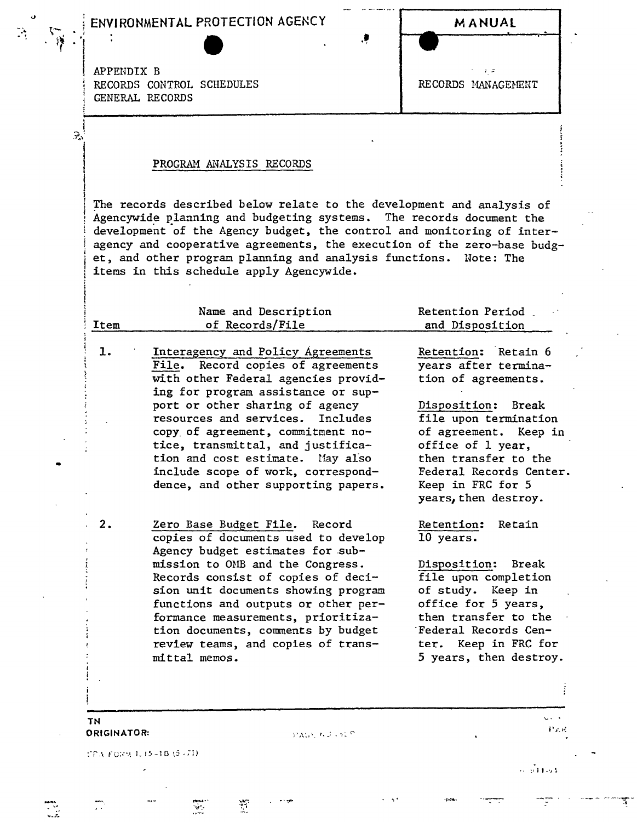## , ENVIRONMENTAL PROTECTION AGENCY MANUAL -:~ . <sup>~</sup> - . .,

<sup>1</sup> *z:*

~i *<sup>J</sup> , .'~* 1

机火火

...<br>......<del>..</del>

.. ...

, APPENDIX B RECORDS CONTROL SCHEDULES FOR RECORDS GENERAL RECORDS

',1

 $\widehat{\gamma}$ 

## PROGRAM ANALYSIS RECORDS

The records described below relate to the development and analysis of Agencywide planning and budgeting systems. The records document the development 'of the Agency budget, the control and monitoring of interagency and cooperative agreements, the execution of the zero-base budget, and other program planning and analysis functions. Note: The items in this schedule apply Agencywide.

| Item | Name and Description<br>of Records/File                                                                                                                                                                                                                                                              | Retention Period<br>and Disposition                                                                                                                             |
|------|------------------------------------------------------------------------------------------------------------------------------------------------------------------------------------------------------------------------------------------------------------------------------------------------------|-----------------------------------------------------------------------------------------------------------------------------------------------------------------|
| 1.   | Interagency and Policy Agreements<br>File. Record copies of agreements<br>with other Federal agencies provid-<br>ing for program assistance or sup-<br>port or other sharing of agency<br>resources and services. Includes<br>copy of agreement, commitment no-<br>tice, transmittal, and justifica- | Retention: Retain 6<br>years after termina-<br>tion of agreements.<br>Disposition: Break<br>file upon termination<br>of agreement. Keep in<br>office of 1 year, |
|      | tion and cost estimate.<br>May also<br>include scope of work, correspond-<br>dence, and other supporting papers.                                                                                                                                                                                     | then transfer to the<br>Federal Records Center.<br>Keep in FRC for 5<br>years, then destroy.                                                                    |
| 2.   | Zero Base Budget File. Record<br>copies of documents used to develop<br>Agency budget estimates for sub-                                                                                                                                                                                             | Retention:<br>Retain<br>10 years.                                                                                                                               |
|      | mission to OMB and the Congress.<br>Records consist of copies of deci-<br>sion unit documents showing program<br>functions and outputs or other per-                                                                                                                                                 | Disposition:<br>Break<br>file upon completion<br>of study. Keep in<br>office for 5 years,                                                                       |
|      | formance measurements, prioritiza-<br>tion documents, comments by budget<br>review teams, and copies of trans-<br>mittal memos.                                                                                                                                                                      | then transfer to the<br>Federal Records Cen-<br>ter. Keep in FRC for<br>5 years, then destroy.                                                                  |
|      |                                                                                                                                                                                                                                                                                                      |                                                                                                                                                                 |

PAGE NU LOCE

 $\frac{1}{2}$ 

 $\frac{1}{2}$ 

TN ORIGINATOR:

ITEA FORM 1, 15-18 (5-71)